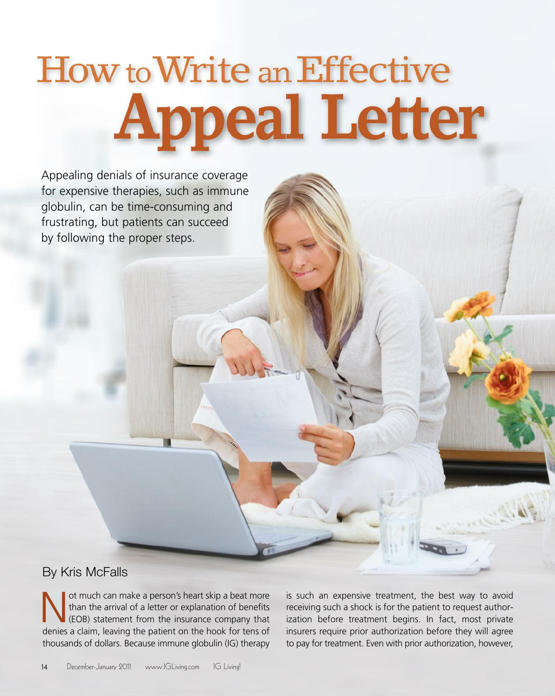# **How to Write an Effective Appeal Letter**

Appealing denials of insurance coverage for expensive therapies, such as immune globulin, can be time-consuming and frustrating, but patients can succeed by following the proper steps.

## By Kris McFalls

In the arrival of a letter or explanation of benefits<br>(EOB) statement from the insurance company that<br>donies a claim Joaving the patient on the book for tops of than the arrival of a letter or explanation of benefits (EOB) statement from the insurance company that denies a claim, leaving the patient on the hook for tens of thousands of dollars. Because immune globulin (IG) therapy

is such an expensive treatment, the best way to avoid receiving such a shock is for the patient to request authorization before treatment begins. In fact, most private insurers require prior authorization before they will agree to pay for treatment. Even with prior authorization, however,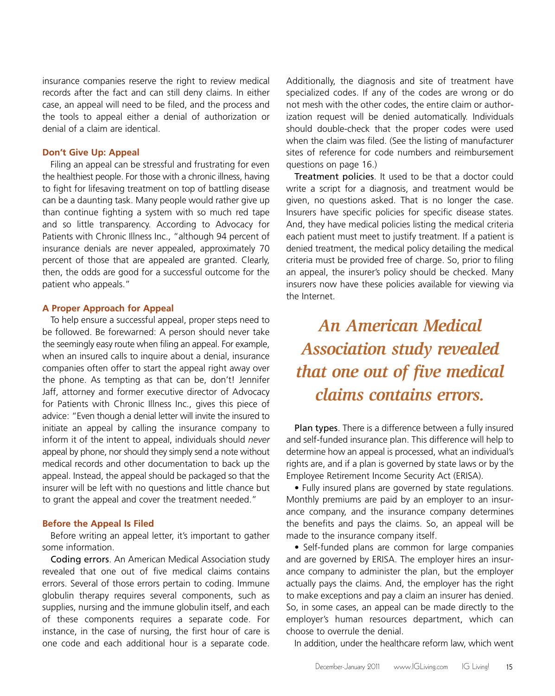insurance companies reserve the right to review medical records after the fact and can still deny claims. In either case, an appeal will need to be filed, and the process and the tools to appeal either a denial of authorization or denial of a claim are identical.

## **Don't Give Up: Appeal**

Filing an appeal can be stressful and frustrating for even the healthiest people. For those with a chronic illness, having to fight for lifesaving treatment on top of battling disease can be a daunting task. Many people would rather give up than continue fighting a system with so much red tape and so little transparency. According to Advocacy for Patients with Chronic Illness Inc., "although 94 percent of insurance denials are never appealed, approximately 70 percent of those that are appealed are granted. Clearly, then, the odds are good for a successful outcome for the patient who appeals."

#### **A Proper Approach for Appeal**

To help ensure a successful appeal, proper steps need to be followed. Be forewarned: A person should never take the seemingly easy route when filing an appeal. For example, when an insured calls to inquire about a denial, insurance companies often offer to start the appeal right away over the phone. As tempting as that can be, don't! Jennifer Jaff, attorney and former executive director of Advocacy for Patients with Chronic Illness Inc., gives this piece of advice: "Even though a denial letter will invite the insured to initiate an appeal by calling the insurance company to inform it of the intent to appeal, individuals should *never* appeal by phone, nor should they simply send a note without medical records and other documentation to back up the appeal. Instead, the appeal should be packaged so that the insurer will be left with no questions and little chance but to grant the appeal and cover the treatment needed."

#### **Before the Appeal Is Filed**

Before writing an appeal letter, it's important to gather some information.

Coding errors. An American Medical Association study revealed that one out of five medical claims contains errors. Several of those errors pertain to coding. Immune globulin therapy requires several components, such as supplies, nursing and the immune globulin itself, and each of these components requires a separate code. For instance, in the case of nursing, the first hour of care is one code and each additional hour is a separate code.

Additionally, the diagnosis and site of treatment have specialized codes. If any of the codes are wrong or do not mesh with the other codes, the entire claim or authorization request will be denied automatically. Individuals should double-check that the proper codes were used when the claim was filed. (See the listing of manufacturer sites of reference for code numbers and reimbursement questions on page 16.)

Treatment policies. It used to be that a doctor could write a script for a diagnosis, and treatment would be given, no questions asked. That is no longer the case. Insurers have specific policies for specific disease states. And, they have medical policies listing the medical criteria each patient must meet to justify treatment. If a patient is denied treatment, the medical policy detailing the medical criteria must be provided free of charge. So, prior to filing an appeal, the insurer's policy should be checked. Many insurers now have these policies available for viewing via the Internet.

# *An American Medical Association study revealed that one out of five medical claims contains errors.*

Plan types. There is a difference between a fully insured and self-funded insurance plan. This difference will help to determine how an appeal is processed, what an individual's rights are, and if a plan is governed by state laws or by the Employee Retirement Income Security Act (ERISA).

• Fully insured plans are governed by state regulations. Monthly premiums are paid by an employer to an insurance company, and the insurance company determines the benefits and pays the claims. So, an appeal will be made to the insurance company itself.

• Self-funded plans are common for large companies and are governed by ERISA. The employer hires an insurance company to administer the plan, but the employer actually pays the claims. And, the employer has the right to make exceptions and pay a claim an insurer has denied. So, in some cases, an appeal can be made directly to the employer's human resources department, which can choose to overrule the denial.

In addition, under the healthcare reform law, which went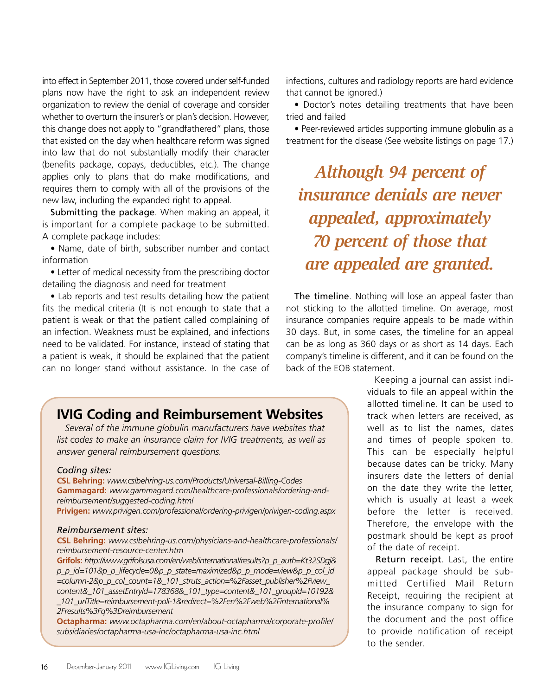into effect in September 2011, those covered under self-funded plans now have the right to ask an independent review organization to review the denial of coverage and consider whether to overturn the insurer's or plan's decision. However, this change does not apply to "grandfathered" plans, those that existed on the day when healthcare reform was signed into law that do not substantially modify their character (benefits package, copays, deductibles, etc.). The change applies only to plans that do make modifications, and requires them to comply with all of the provisions of the new law, including the expanded right to appeal.

Submitting the package. When making an appeal, it is important for a complete package to be submitted. A complete package includes:

• Name, date of birth, subscriber number and contact information

• Letter of medical necessity from the prescribing doctor detailing the diagnosis and need for treatment

• Lab reports and test results detailing how the patient fits the medical criteria (It is not enough to state that a patient is weak or that the patient called complaining of an infection. Weakness must be explained, and infections need to be validated. For instance, instead of stating that a patient is weak, it should be explained that the patient can no longer stand without assistance. In the case of

## infections, cultures and radiology reports are hard evidence that cannot be ignored.)

• Doctor's notes detailing treatments that have been tried and failed

• Peer-reviewed articles supporting immune globulin as a treatment for the disease (See website listings on page 17.)

*Although 94 percent of insurance denials are never appealed, approximately 70 percent of those that are appealed are granted.*

The timeline. Nothing will lose an appeal faster than not sticking to the allotted timeline. On average, most insurance companies require appeals to be made within 30 days. But, in some cases, the timeline for an appeal can be as long as 360 days or as short as 14 days. Each company's timeline is different, and it can be found on the back of the EOB statement.

## **IVIG Coding and Reimbursement Websites**

*Several of the immune globulin manufacturers have websites that list codes to make an insurance claim for IVIG treatments, as well as answer general reimbursement questions.*

## *Coding sites:*

**CSL Behring:** *<www.cslbehring-us.com/Products/Universal-Billing-Codes>* **Gammagard:** *[www.gammagard.com/healthcare-professionals/ordering-and](www.gammagard.com/healthcare-professionals/ordering-and-reimbursement/suggested-coding.html)[reimbursement/suggested-coding.html](www.gammagard.com/healthcare-professionals/ordering-and-reimbursement/suggested-coding.html)*

**Privigen:** *<www.privigen.com/professional/ordering-privigen/privigen-coding.aspx>*

## *Reimbursement sites:*

**CSL Behring:** *[www.cslbehring-us.com/physicians-and-healthcare-professionals/](www.cslbehring-us.com/physicians-and-healthcare-professionals/ reimbursement-resource-center.htm) [reimbursement-resource-center.htm](www.cslbehring-us.com/physicians-and-healthcare-professionals/ reimbursement-resource-center.htm)*

**Grifols:** *[http://www.grifolsusa.com/en/web/international/results?p\\_p\\_auth=Kt32SDgj&](http://www.grifolsusa.com/en/web/international/results?p_p_auth=Kt32SDgj&p_p_id=101&p_p_lifecycle=0&p_p_state=maximized&p_p_mode=view&p_p_col_id=column-2&p_p_col_count=1&_101_struts_action=%2Fasset_publisher%2Fview_content&_101_assetEntryId=178368&_1) [p\\_p\\_id=101&p\\_p\\_lifecycle=0&p\\_p\\_state=maximized&p\\_p\\_mode=view&p\\_p\\_col\\_id](http://www.grifolsusa.com/en/web/international/results?p_p_auth=Kt32SDgj&p_p_id=101&p_p_lifecycle=0&p_p_state=maximized&p_p_mode=view&p_p_col_id=column-2&p_p_col_count=1&_101_struts_action=%2Fasset_publisher%2Fview_content&_101_assetEntryId=178368&_1) [=column-2&p\\_p\\_col\\_count=1&\\_101\\_struts\\_action=%2Fasset\\_publisher%2Fview\\_](http://www.grifolsusa.com/en/web/international/results?p_p_auth=Kt32SDgj&p_p_id=101&p_p_lifecycle=0&p_p_state=maximized&p_p_mode=view&p_p_col_id=column-2&p_p_col_count=1&_101_struts_action=%2Fasset_publisher%2Fview_content&_101_assetEntryId=178368&_1) [content&\\_101\\_assetEntryId=178368&\\_101\\_type=content&\\_101\\_groupId=10192&](http://www.grifolsusa.com/en/web/international/results?p_p_auth=Kt32SDgj&p_p_id=101&p_p_lifecycle=0&p_p_state=maximized&p_p_mode=view&p_p_col_id=column-2&p_p_col_count=1&_101_struts_action=%2Fasset_publisher%2Fview_content&_101_assetEntryId=178368&_1) [\\_101\\_urlTitle=reimbursement-poli-1&redirect=%2Fen%2Fweb%2Finternational%](http://www.grifolsusa.com/en/web/international/results?p_p_auth=Kt32SDgj&p_p_id=101&p_p_lifecycle=0&p_p_state=maximized&p_p_mode=view&p_p_col_id=column-2&p_p_col_count=1&_101_struts_action=%2Fasset_publisher%2Fview_content&_101_assetEntryId=178368&_1) [2Fresults%3Fq%3Dreimbursement](http://www.grifolsusa.com/en/web/international/results?p_p_auth=Kt32SDgj&p_p_id=101&p_p_lifecycle=0&p_p_state=maximized&p_p_mode=view&p_p_col_id=column-2&p_p_col_count=1&_101_struts_action=%2Fasset_publisher%2Fview_content&_101_assetEntryId=178368&_1)*

**Octapharma:** *[www.octapharma.com/en/about-octapharma/corporate-profile/](www.octapharma.com/en/about-octapharma/corporate-profile/ subsidiaries/octapharma-usa-inc/octapharma-usa-inc.html) [subsidiaries/octapharma-usa-inc/octapharma-usa-inc.html](www.octapharma.com/en/about-octapharma/corporate-profile/ subsidiaries/octapharma-usa-inc/octapharma-usa-inc.html)*

Keeping a journal can assist individuals to file an appeal within the allotted timeline. It can be used to track when letters are received, as well as to list the names, dates and times of people spoken to. This can be especially helpful because dates can be tricky. Many insurers date the letters of denial on the date they write the letter, which is usually at least a week before the letter is received. Therefore, the envelope with the postmark should be kept as proof of the date of receipt.

Return receipt. Last, the entire appeal package should be submitted Certified Mail Return Receipt, requiring the recipient at the insurance company to sign for the document and the post office to provide notification of receipt to the sender.